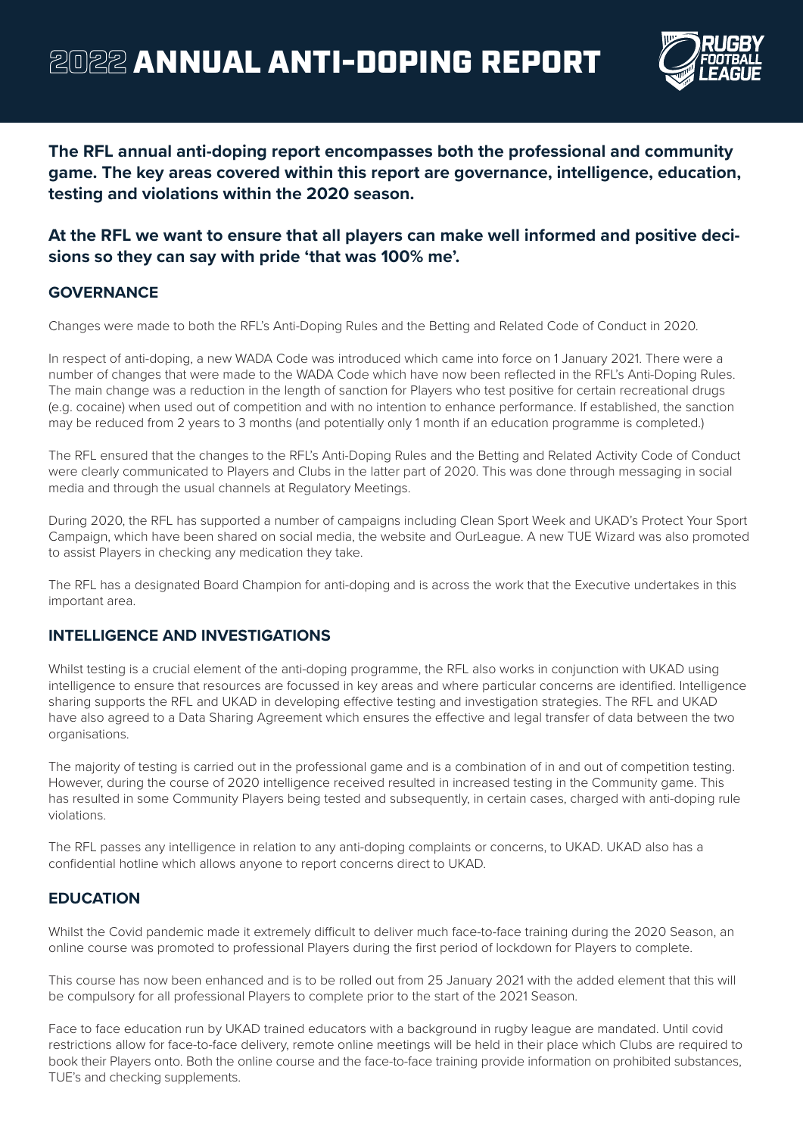

**The RFL annual anti-doping report encompasses both the professional and community game. The key areas covered within this report are governance, intelligence, education, testing and violations within the 2020 season.** 

# **At the RFL we want to ensure that all players can make well informed and positive decisions so they can say with pride 'that was 100% me'.**

## **GOVERNANCE**

Changes were made to both the RFL's Anti-Doping Rules and the Betting and Related Code of Conduct in 2020.

In respect of anti-doping, a new WADA Code was introduced which came into force on 1 January 2021. There were a number of changes that were made to the WADA Code which have now been reflected in the RFL's Anti-Doping Rules. The main change was a reduction in the length of sanction for Players who test positive for certain recreational drugs (e.g. cocaine) when used out of competition and with no intention to enhance performance. If established, the sanction may be reduced from 2 years to 3 months (and potentially only 1 month if an education programme is completed.)

The RFL ensured that the changes to the RFL's Anti-Doping Rules and the Betting and Related Activity Code of Conduct were clearly communicated to Players and Clubs in the latter part of 2020. This was done through messaging in social media and through the usual channels at Regulatory Meetings.

During 2020, the RFL has supported a number of campaigns including Clean Sport Week and UKAD's Protect Your Sport Campaign, which have been shared on social media, the website and OurLeague. A new TUE Wizard was also promoted to assist Players in checking any medication they take.

The RFL has a designated Board Champion for anti-doping and is across the work that the Executive undertakes in this important area.

## **INTELLIGENCE AND INVESTIGATIONS**

Whilst testing is a crucial element of the anti-doping programme, the RFL also works in conjunction with UKAD using intelligence to ensure that resources are focussed in key areas and where particular concerns are identified. Intelligence sharing supports the RFL and UKAD in developing effective testing and investigation strategies. The RFL and UKAD have also agreed to a Data Sharing Agreement which ensures the effective and legal transfer of data between the two organisations.

The majority of testing is carried out in the professional game and is a combination of in and out of competition testing. However, during the course of 2020 intelligence received resulted in increased testing in the Community game. This has resulted in some Community Players being tested and subsequently, in certain cases, charged with anti-doping rule violations.

The RFL passes any intelligence in relation to any anti-doping complaints or concerns, to UKAD. UKAD also has a confidential hotline which allows anyone to report concerns direct to UKAD.

### **EDUCATION**

Whilst the Covid pandemic made it extremely difficult to deliver much face-to-face training during the 2020 Season, an online course was promoted to professional Players during the first period of lockdown for Players to complete.

This course has now been enhanced and is to be rolled out from 25 January 2021 with the added element that this will be compulsory for all professional Players to complete prior to the start of the 2021 Season.

Face to face education run by UKAD trained educators with a background in rugby league are mandated. Until covid restrictions allow for face-to-face delivery, remote online meetings will be held in their place which Clubs are required to book their Players onto. Both the online course and the face-to-face training provide information on prohibited substances, TUE's and checking supplements.